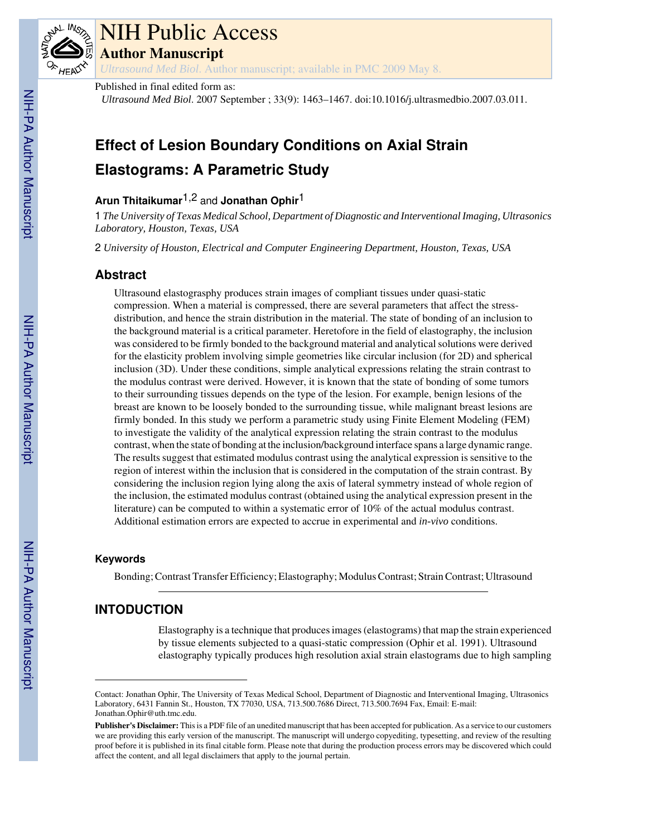

# NIH Public Access

**Author Manuscript**

*Ultrasound Med Biol*. Author manuscript; available in PMC 2009 May 8.

# Published in final edited form as:

*Ultrasound Med Biol*. 2007 September ; 33(9): 1463–1467. doi:10.1016/j.ultrasmedbio.2007.03.011.

# **Effect of Lesion Boundary Conditions on Axial Strain Elastograms: A Parametric Study**

# **Arun Thitaikumar**1,2 and **Jonathan Ophir**1

1 *The University of Texas Medical School, Department of Diagnostic and Interventional Imaging, Ultrasonics Laboratory, Houston, Texas, USA*

2 *University of Houston, Electrical and Computer Engineering Department, Houston, Texas, USA*

# **Abstract**

Ultrasound elastograsphy produces strain images of compliant tissues under quasi-static compression. When a material is compressed, there are several parameters that affect the stressdistribution, and hence the strain distribution in the material. The state of bonding of an inclusion to the background material is a critical parameter. Heretofore in the field of elastography, the inclusion was considered to be firmly bonded to the background material and analytical solutions were derived for the elasticity problem involving simple geometries like circular inclusion (for 2D) and spherical inclusion (3D). Under these conditions, simple analytical expressions relating the strain contrast to the modulus contrast were derived. However, it is known that the state of bonding of some tumors to their surrounding tissues depends on the type of the lesion. For example, benign lesions of the breast are known to be loosely bonded to the surrounding tissue, while malignant breast lesions are firmly bonded. In this study we perform a parametric study using Finite Element Modeling (FEM) to investigate the validity of the analytical expression relating the strain contrast to the modulus contrast, when the state of bonding at the inclusion/background interface spans a large dynamic range. The results suggest that estimated modulus contrast using the analytical expression is sensitive to the region of interest within the inclusion that is considered in the computation of the strain contrast. By considering the inclusion region lying along the axis of lateral symmetry instead of whole region of the inclusion, the estimated modulus contrast (obtained using the analytical expression present in the literature) can be computed to within a systematic error of 10% of the actual modulus contrast. Additional estimation errors are expected to accrue in experimental and *in-vivo* conditions.

# **Keywords**

Bonding; Contrast Transfer Efficiency; Elastography; Modulus Contrast; Strain Contrast; Ultrasound

# **INTODUCTION**

Elastography is a technique that produces images (elastograms) that map the strain experienced by tissue elements subjected to a quasi-static compression (Ophir et al. 1991). Ultrasound elastography typically produces high resolution axial strain elastograms due to high sampling

Contact: Jonathan Ophir, The University of Texas Medical School, Department of Diagnostic and Interventional Imaging, Ultrasonics Laboratory, 6431 Fannin St., Houston, TX 77030, USA, 713.500.7686 Direct, 713.500.7694 Fax, Email: E-mail: Jonathan.Ophir@uth.tmc.edu.

**Publisher's Disclaimer:** This is a PDF file of an unedited manuscript that has been accepted for publication. As a service to our customers we are providing this early version of the manuscript. The manuscript will undergo copyediting, typesetting, and review of the resulting proof before it is published in its final citable form. Please note that during the production process errors may be discovered which could affect the content, and all legal disclaimers that apply to the journal pertain.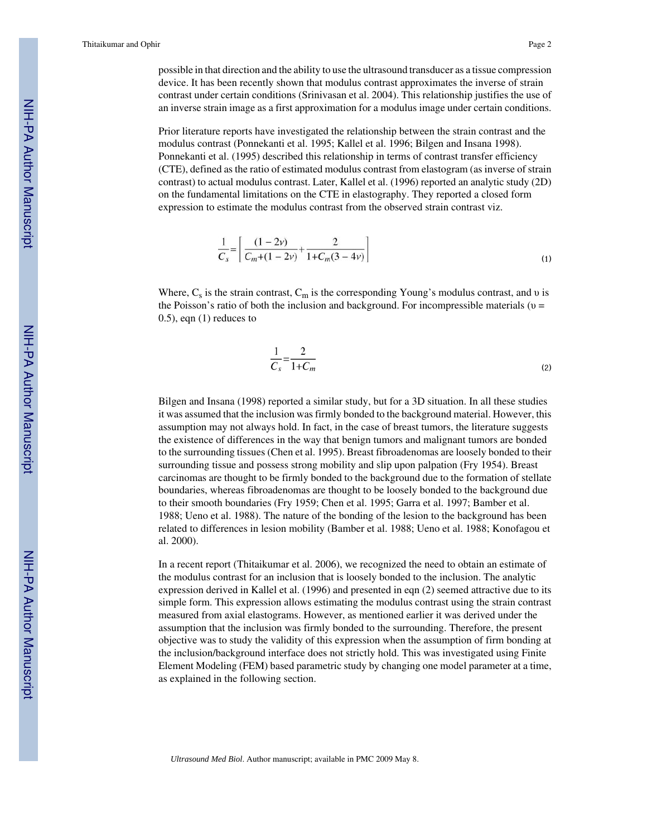possible in that direction and the ability to use the ultrasound transducer as a tissue compression device. It has been recently shown that modulus contrast approximates the inverse of strain contrast under certain conditions (Srinivasan et al. 2004). This relationship justifies the use of an inverse strain image as a first approximation for a modulus image under certain conditions.

Prior literature reports have investigated the relationship between the strain contrast and the modulus contrast (Ponnekanti et al. 1995; Kallel et al. 1996; Bilgen and Insana 1998). Ponnekanti et al. (1995) described this relationship in terms of contrast transfer efficiency (CTE), defined as the ratio of estimated modulus contrast from elastogram (as inverse of strain contrast) to actual modulus contrast. Later, Kallel et al. (1996) reported an analytic study (2D) on the fundamental limitations on the CTE in elastography. They reported a closed form expression to estimate the modulus contrast from the observed strain contrast viz.

$$
\frac{1}{C_s} = \left[ \frac{(1-2\nu)}{C_m + (1-2\nu)} + \frac{2}{1 + C_m(3-4\nu)} \right]
$$
\n(1)

Where,  $C_s$  is the strain contrast,  $C_m$  is the corresponding Young's modulus contrast, and v is the Poisson's ratio of both the inclusion and background. For incompressible materials ( $\nu$  = 0.5), eqn (1) reduces to

$$
\frac{1}{C_s} = \frac{2}{1 + C_m} \tag{2}
$$

Bilgen and Insana (1998) reported a similar study, but for a 3D situation. In all these studies it was assumed that the inclusion was firmly bonded to the background material. However, this assumption may not always hold. In fact, in the case of breast tumors, the literature suggests the existence of differences in the way that benign tumors and malignant tumors are bonded to the surrounding tissues (Chen et al. 1995). Breast fibroadenomas are loosely bonded to their surrounding tissue and possess strong mobility and slip upon palpation (Fry 1954). Breast carcinomas are thought to be firmly bonded to the background due to the formation of stellate boundaries, whereas fibroadenomas are thought to be loosely bonded to the background due to their smooth boundaries (Fry 1959; Chen et al. 1995; Garra et al. 1997; Bamber et al. 1988; Ueno et al. 1988). The nature of the bonding of the lesion to the background has been related to differences in lesion mobility (Bamber et al. 1988; Ueno et al. 1988; Konofagou et al. 2000).

In a recent report (Thitaikumar et al. 2006), we recognized the need to obtain an estimate of the modulus contrast for an inclusion that is loosely bonded to the inclusion. The analytic expression derived in Kallel et al. (1996) and presented in eqn (2) seemed attractive due to its simple form. This expression allows estimating the modulus contrast using the strain contrast measured from axial elastograms. However, as mentioned earlier it was derived under the assumption that the inclusion was firmly bonded to the surrounding. Therefore, the present objective was to study the validity of this expression when the assumption of firm bonding at the inclusion/background interface does not strictly hold. This was investigated using Finite Element Modeling (FEM) based parametric study by changing one model parameter at a time, as explained in the following section.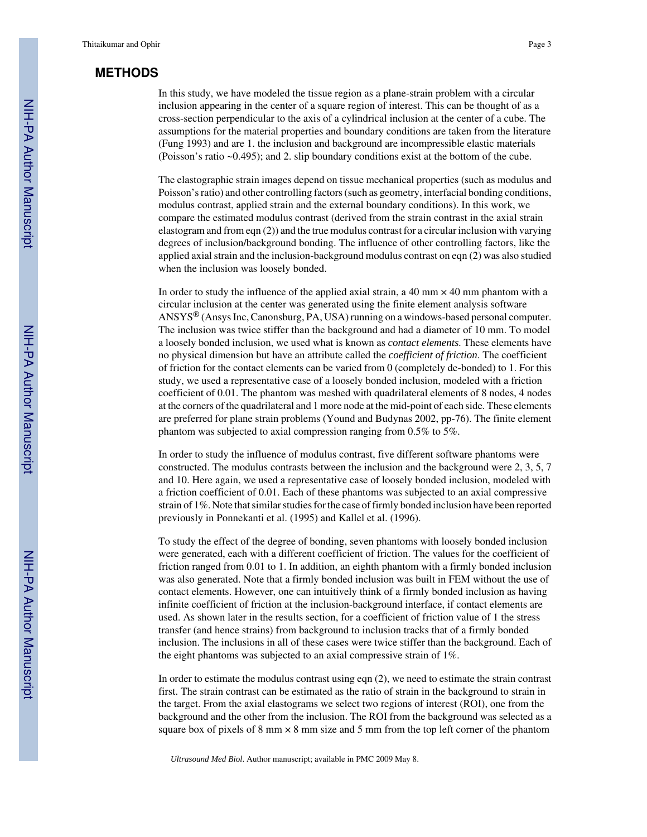# **METHODS**

In this study, we have modeled the tissue region as a plane-strain problem with a circular inclusion appearing in the center of a square region of interest. This can be thought of as a cross-section perpendicular to the axis of a cylindrical inclusion at the center of a cube. The assumptions for the material properties and boundary conditions are taken from the literature (Fung 1993) and are 1. the inclusion and background are incompressible elastic materials (Poisson's ratio ~0.495); and 2. slip boundary conditions exist at the bottom of the cube.

The elastographic strain images depend on tissue mechanical properties (such as modulus and Poisson's ratio) and other controlling factors (such as geometry, interfacial bonding conditions, modulus contrast, applied strain and the external boundary conditions). In this work, we compare the estimated modulus contrast (derived from the strain contrast in the axial strain elastogram and from eqn (2)) and the true modulus contrast for a circular inclusion with varying degrees of inclusion/background bonding. The influence of other controlling factors, like the applied axial strain and the inclusion-background modulus contrast on eqn (2) was also studied when the inclusion was loosely bonded.

In order to study the influence of the applied axial strain, a  $40 \text{ mm} \times 40 \text{ mm}$  phantom with a circular inclusion at the center was generated using the finite element analysis software ANSYS® (Ansys Inc, Canonsburg, PA, USA) running on a windows-based personal computer. The inclusion was twice stiffer than the background and had a diameter of 10 mm. To model a loosely bonded inclusion, we used what is known as *contact elements*. These elements have no physical dimension but have an attribute called the *coefficient of friction*. The coefficient of friction for the contact elements can be varied from 0 (completely de-bonded) to 1. For this study, we used a representative case of a loosely bonded inclusion, modeled with a friction coefficient of 0.01. The phantom was meshed with quadrilateral elements of 8 nodes, 4 nodes at the corners of the quadrilateral and 1 more node at the mid-point of each side. These elements are preferred for plane strain problems (Yound and Budynas 2002, pp-76). The finite element phantom was subjected to axial compression ranging from 0.5% to 5%.

In order to study the influence of modulus contrast, five different software phantoms were constructed. The modulus contrasts between the inclusion and the background were 2, 3, 5, 7 and 10. Here again, we used a representative case of loosely bonded inclusion, modeled with a friction coefficient of 0.01. Each of these phantoms was subjected to an axial compressive strain of 1%. Note that similar studies for the case of firmly bonded inclusion have been reported previously in Ponnekanti et al. (1995) and Kallel et al. (1996).

To study the effect of the degree of bonding, seven phantoms with loosely bonded inclusion were generated, each with a different coefficient of friction. The values for the coefficient of friction ranged from 0.01 to 1. In addition, an eighth phantom with a firmly bonded inclusion was also generated. Note that a firmly bonded inclusion was built in FEM without the use of contact elements. However, one can intuitively think of a firmly bonded inclusion as having infinite coefficient of friction at the inclusion-background interface, if contact elements are used. As shown later in the results section, for a coefficient of friction value of 1 the stress transfer (and hence strains) from background to inclusion tracks that of a firmly bonded inclusion. The inclusions in all of these cases were twice stiffer than the background. Each of the eight phantoms was subjected to an axial compressive strain of 1%.

In order to estimate the modulus contrast using eqn (2), we need to estimate the strain contrast first. The strain contrast can be estimated as the ratio of strain in the background to strain in the target. From the axial elastograms we select two regions of interest (ROI), one from the background and the other from the inclusion. The ROI from the background was selected as a square box of pixels of  $8 \text{ mm} \times 8 \text{ mm}$  size and  $5 \text{ mm}$  from the top left corner of the phantom

*Ultrasound Med Biol*. Author manuscript; available in PMC 2009 May 8.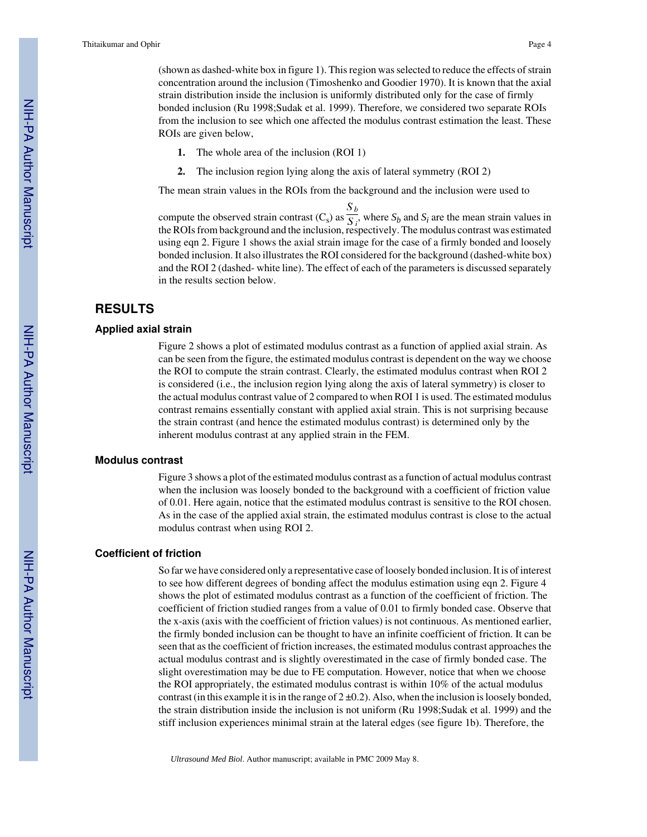(shown as dashed-white box in figure 1). This region was selected to reduce the effects of strain concentration around the inclusion (Timoshenko and Goodier 1970). It is known that the axial strain distribution inside the inclusion is uniformly distributed only for the case of firmly bonded inclusion (Ru 1998;Sudak et al. 1999). Therefore, we considered two separate ROIs from the inclusion to see which one affected the modulus contrast estimation the least. These ROIs are given below,

- **1.** The whole area of the inclusion (ROI 1)
- **2.** The inclusion region lying along the axis of lateral symmetry (ROI 2)

The mean strain values in the ROIs from the background and the inclusion were used to

compute the observed strain contrast  $(C_s)$  as  $\overline{S_i}$ , where  $S_b$  and  $S_i$  are the mean strain values in the ROIs from background and the inclusion, respectively. The modulus contrast was estimated using eqn 2. Figure 1 shows the axial strain image for the case of a firmly bonded and loosely bonded inclusion. It also illustrates the ROI considered for the background (dashed-white box) and the ROI 2 (dashed- white line). The effect of each of the parameters is discussed separately in the results section below.

# **RESULTS**

#### **Applied axial strain**

Figure 2 shows a plot of estimated modulus contrast as a function of applied axial strain. As can be seen from the figure, the estimated modulus contrast is dependent on the way we choose the ROI to compute the strain contrast. Clearly, the estimated modulus contrast when ROI 2 is considered (i.e., the inclusion region lying along the axis of lateral symmetry) is closer to the actual modulus contrast value of 2 compared to when ROI 1 is used. The estimated modulus contrast remains essentially constant with applied axial strain. This is not surprising because the strain contrast (and hence the estimated modulus contrast) is determined only by the inherent modulus contrast at any applied strain in the FEM.

#### **Modulus contrast**

Figure 3 shows a plot of the estimated modulus contrast as a function of actual modulus contrast when the inclusion was loosely bonded to the background with a coefficient of friction value of 0.01. Here again, notice that the estimated modulus contrast is sensitive to the ROI chosen. As in the case of the applied axial strain, the estimated modulus contrast is close to the actual modulus contrast when using ROI 2.

#### **Coefficient of friction**

So far we have considered only a representative case of loosely bonded inclusion. It is of interest to see how different degrees of bonding affect the modulus estimation using eqn 2. Figure 4 shows the plot of estimated modulus contrast as a function of the coefficient of friction. The coefficient of friction studied ranges from a value of 0.01 to firmly bonded case. Observe that the x-axis (axis with the coefficient of friction values) is not continuous. As mentioned earlier, the firmly bonded inclusion can be thought to have an infinite coefficient of friction. It can be seen that as the coefficient of friction increases, the estimated modulus contrast approaches the actual modulus contrast and is slightly overestimated in the case of firmly bonded case. The slight overestimation may be due to FE computation. However, notice that when we choose the ROI appropriately, the estimated modulus contrast is within 10% of the actual modulus contrast (in this example it is in the range of  $2 \pm 0.2$ ). Also, when the inclusion is loosely bonded, the strain distribution inside the inclusion is not uniform (Ru 1998;Sudak et al. 1999) and the stiff inclusion experiences minimal strain at the lateral edges (see figure 1b). Therefore, the

*Ultrasound Med Biol*. Author manuscript; available in PMC 2009 May 8.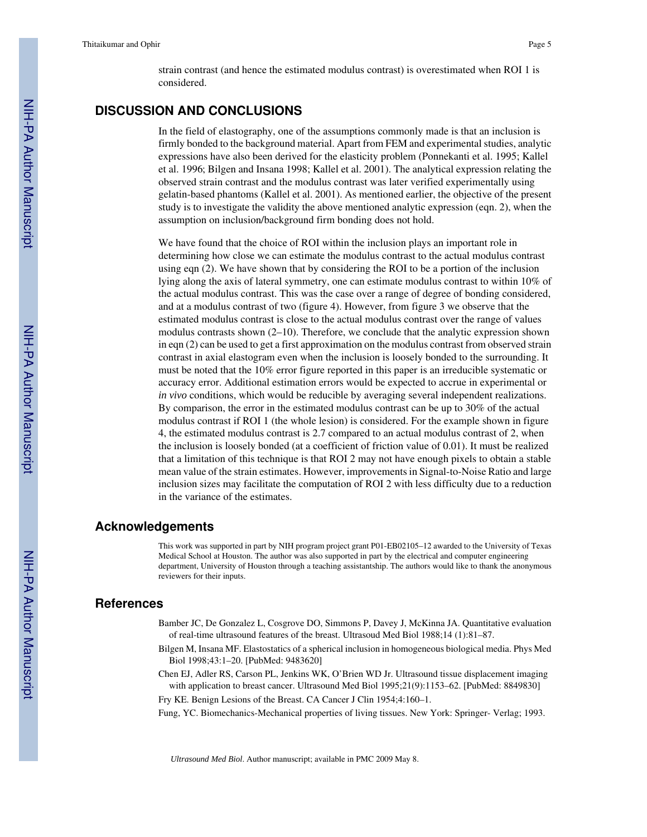strain contrast (and hence the estimated modulus contrast) is overestimated when ROI 1 is considered.

# **DISCUSSION AND CONCLUSIONS**

In the field of elastography, one of the assumptions commonly made is that an inclusion is firmly bonded to the background material. Apart from FEM and experimental studies, analytic expressions have also been derived for the elasticity problem (Ponnekanti et al. 1995; Kallel et al. 1996; Bilgen and Insana 1998; Kallel et al. 2001). The analytical expression relating the observed strain contrast and the modulus contrast was later verified experimentally using gelatin-based phantoms (Kallel et al. 2001). As mentioned earlier, the objective of the present study is to investigate the validity the above mentioned analytic expression (eqn. 2), when the assumption on inclusion/background firm bonding does not hold.

We have found that the choice of ROI within the inclusion plays an important role in determining how close we can estimate the modulus contrast to the actual modulus contrast using eqn (2). We have shown that by considering the ROI to be a portion of the inclusion lying along the axis of lateral symmetry, one can estimate modulus contrast to within 10% of the actual modulus contrast. This was the case over a range of degree of bonding considered, and at a modulus contrast of two (figure 4). However, from figure 3 we observe that the estimated modulus contrast is close to the actual modulus contrast over the range of values modulus contrasts shown  $(2-10)$ . Therefore, we conclude that the analytic expression shown in eqn (2) can be used to get a first approximation on the modulus contrast from observed strain contrast in axial elastogram even when the inclusion is loosely bonded to the surrounding. It must be noted that the 10% error figure reported in this paper is an irreducible systematic or accuracy error. Additional estimation errors would be expected to accrue in experimental or *in vivo* conditions, which would be reducible by averaging several independent realizations. By comparison, the error in the estimated modulus contrast can be up to 30% of the actual modulus contrast if ROI 1 (the whole lesion) is considered. For the example shown in figure 4, the estimated modulus contrast is 2.7 compared to an actual modulus contrast of 2, when the inclusion is loosely bonded (at a coefficient of friction value of 0.01). It must be realized that a limitation of this technique is that ROI 2 may not have enough pixels to obtain a stable mean value of the strain estimates. However, improvements in Signal-to-Noise Ratio and large inclusion sizes may facilitate the computation of ROI 2 with less difficulty due to a reduction in the variance of the estimates.

### **Acknowledgements**

This work was supported in part by NIH program project grant P01-EB02105–12 awarded to the University of Texas Medical School at Houston. The author was also supported in part by the electrical and computer engineering department, University of Houston through a teaching assistantship. The authors would like to thank the anonymous reviewers for their inputs.

### **References**

- Bamber JC, De Gonzalez L, Cosgrove DO, Simmons P, Davey J, McKinna JA. Quantitative evaluation of real-time ultrasound features of the breast. Ultrasoud Med Biol 1988;14 (1):81–87.
- Bilgen M, Insana MF. Elastostatics of a spherical inclusion in homogeneous biological media. Phys Med Biol 1998;43:1–20. [PubMed: 9483620]
- Chen EJ, Adler RS, Carson PL, Jenkins WK, O'Brien WD Jr. Ultrasound tissue displacement imaging with application to breast cancer. Ultrasound Med Biol 1995;21(9):1153–62. [PubMed: 8849830]
- Fry KE. Benign Lesions of the Breast. CA Cancer J Clin 1954;4:160–1.

Fung, YC. Biomechanics-Mechanical properties of living tissues. New York: Springer- Verlag; 1993.

*Ultrasound Med Biol*. Author manuscript; available in PMC 2009 May 8.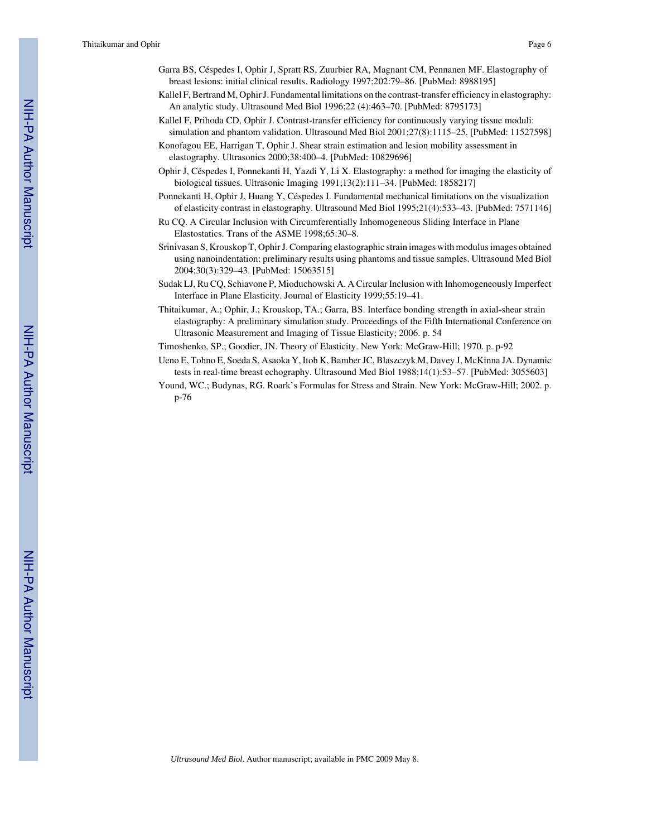Thitaikumar and Ophir Page 6

- Garra BS, Céspedes I, Ophir J, Spratt RS, Zuurbier RA, Magnant CM, Pennanen MF. Elastography of breast lesions: initial clinical results. Radiology 1997;202:79–86. [PubMed: 8988195]
- Kallel F, Bertrand M, Ophir J. Fundamental limitations on the contrast-transfer efficiency in elastography: An analytic study. Ultrasound Med Biol 1996;22 (4):463–70. [PubMed: 8795173]
- Kallel F, Prihoda CD, Ophir J. Contrast-transfer efficiency for continuously varying tissue moduli: simulation and phantom validation. Ultrasound Med Biol 2001;27(8):1115–25. [PubMed: 11527598]
- Konofagou EE, Harrigan T, Ophir J. Shear strain estimation and lesion mobility assessment in elastography. Ultrasonics 2000;38:400–4. [PubMed: 10829696]
- Ophir J, Céspedes I, Ponnekanti H, Yazdi Y, Li X. Elastography: a method for imaging the elasticity of biological tissues. Ultrasonic Imaging 1991;13(2):111–34. [PubMed: 1858217]
- Ponnekanti H, Ophir J, Huang Y, Céspedes I. Fundamental mechanical limitations on the visualization of elasticity contrast in elastography. Ultrasound Med Biol 1995;21(4):533–43. [PubMed: 7571146]
- Ru CQ. A Circular Inclusion with Circumferentially Inhomogeneous Sliding Interface in Plane Elastostatics. Trans of the ASME 1998;65:30–8.
- Srinivasan S, Krouskop T, Ophir J. Comparing elastographic strain images with modulus images obtained using nanoindentation: preliminary results using phantoms and tissue samples. Ultrasound Med Biol 2004;30(3):329–43. [PubMed: 15063515]
- Sudak LJ, Ru CQ, Schiavone P, Mioduchowski A. A Circular Inclusion with Inhomogeneously Imperfect Interface in Plane Elasticity. Journal of Elasticity 1999;55:19–41.
- Thitaikumar, A.; Ophir, J.; Krouskop, TA.; Garra, BS. Interface bonding strength in axial-shear strain elastography: A preliminary simulation study. Proceedings of the Fifth International Conference on Ultrasonic Measurement and Imaging of Tissue Elasticity; 2006. p. 54

Timoshenko, SP.; Goodier, JN. Theory of Elasticity. New York: McGraw-Hill; 1970. p. p-92

- Ueno E, Tohno E, Soeda S, Asaoka Y, Itoh K, Bamber JC, Blaszczyk M, Davey J, McKinna JA. Dynamic tests in real-time breast echography. Ultrasound Med Biol 1988;14(1):53–57. [PubMed: 3055603]
- Yound, WC.; Budynas, RG. Roark's Formulas for Stress and Strain. New York: McGraw-Hill; 2002. p. p-76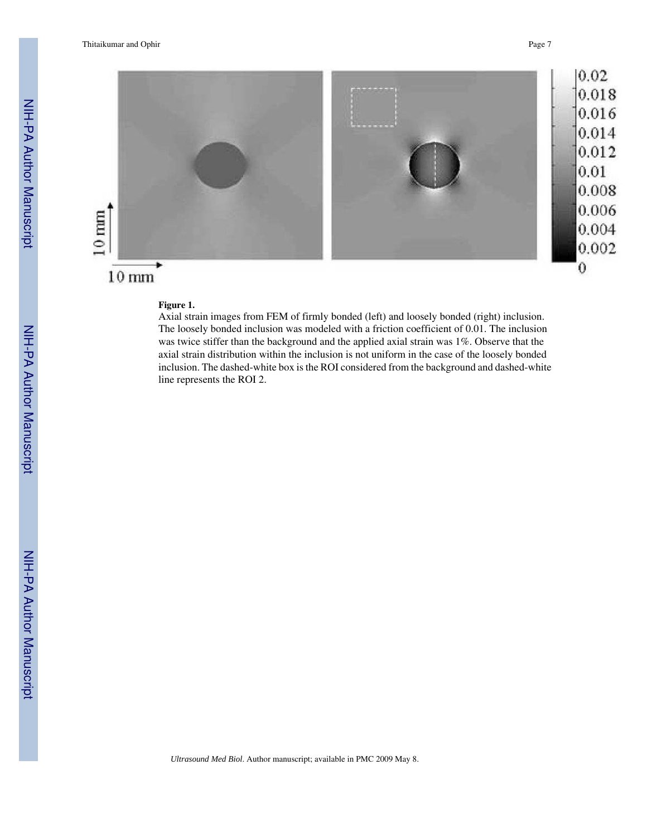

# **Figure 1.**

Axial strain images from FEM of firmly bonded (left) and loosely bonded (right) inclusion. The loosely bonded inclusion was modeled with a friction coefficient of 0.01. The inclusion was twice stiffer than the background and the applied axial strain was 1%. Observe that the axial strain distribution within the inclusion is not uniform in the case of the loosely bonded inclusion. The dashed-white box is the ROI considered from the background and dashed-white line represents the ROI 2.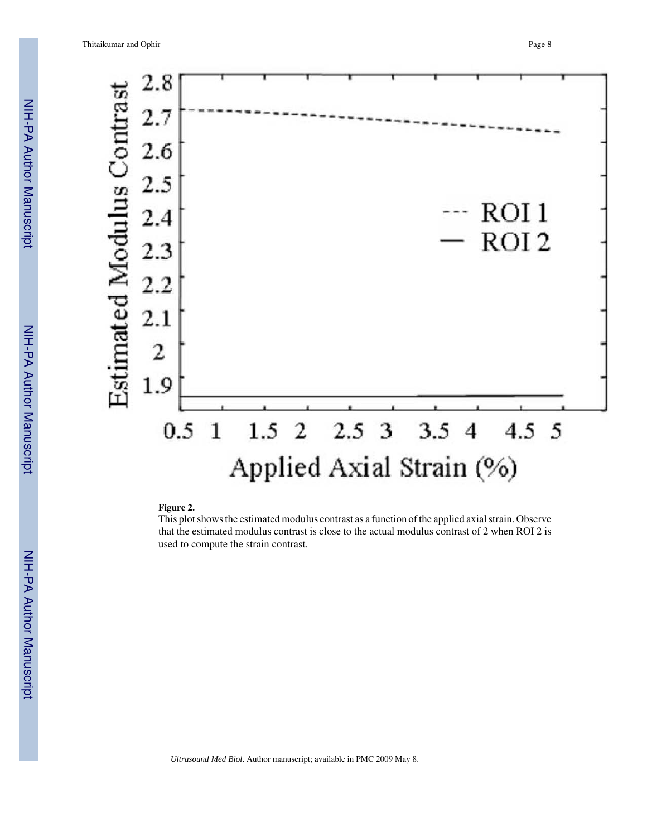

#### **Figure 2.**

This plot shows the estimated modulus contrast as a function of the applied axial strain. Observe that the estimated modulus contrast is close to the actual modulus contrast of 2 when ROI 2 is used to compute the strain contrast.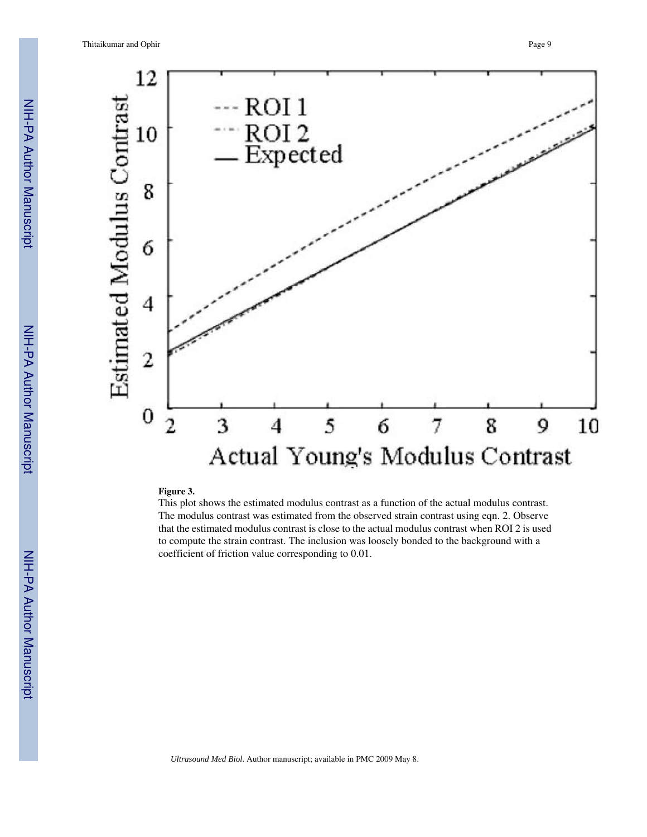

#### **Figure 3.**

This plot shows the estimated modulus contrast as a function of the actual modulus contrast. The modulus contrast was estimated from the observed strain contrast using eqn. 2. Observe that the estimated modulus contrast is close to the actual modulus contrast when ROI 2 is used to compute the strain contrast. The inclusion was loosely bonded to the background with a coefficient of friction value corresponding to 0.01.